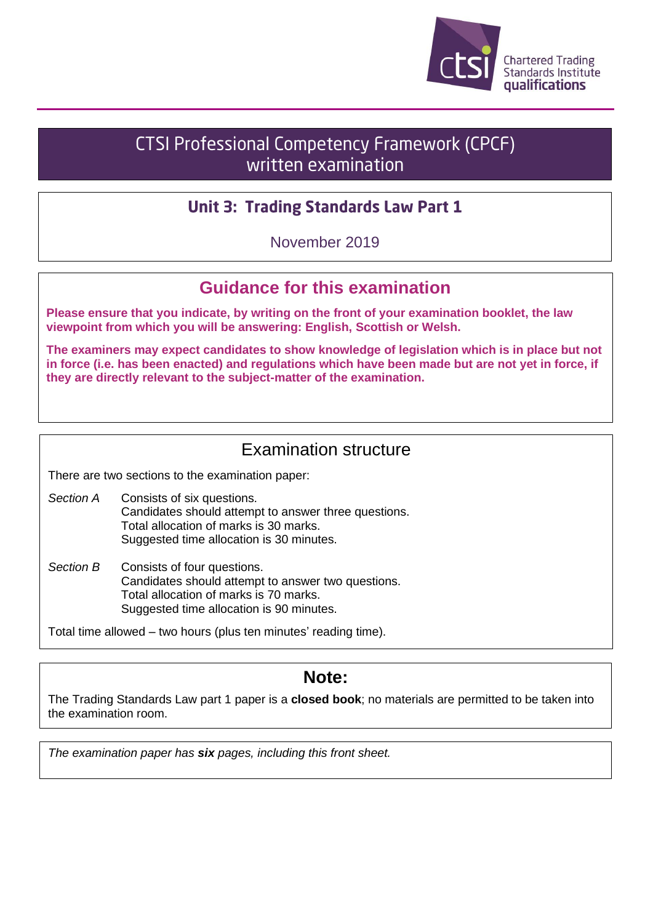

# **CTSI Professional Competency Framework (CPCF)** written examination

## **Unit 3: Trading Standards Law Part 1**

November 2019

## **Guidance for this examination**

**Please ensure that you indicate, by writing on the front of your examination booklet, the law viewpoint from which you will be answering: English, Scottish or Welsh.**

**The examiners may expect candidates to show knowledge of legislation which is in place but not in force (i.e. has been enacted) and regulations which have been made but are not yet in force, if they are directly relevant to the subject-matter of the examination.**

## Examination structure

There are two sections to the examination paper:

- *Section A* Consists of six questions. Candidates should attempt to answer three questions. Total allocation of marks is 30 marks. Suggested time allocation is 30 minutes.
- *Section B* Consists of four questions. Candidates should attempt to answer two questions. Total allocation of marks is 70 marks. Suggested time allocation is 90 minutes.

Total time allowed – two hours (plus ten minutes' reading time).

# **Note:**

The Trading Standards Law part 1 paper is a **closed book**; no materials are permitted to be taken into the examination room.

*The examination paper has six pages, including this front sheet.*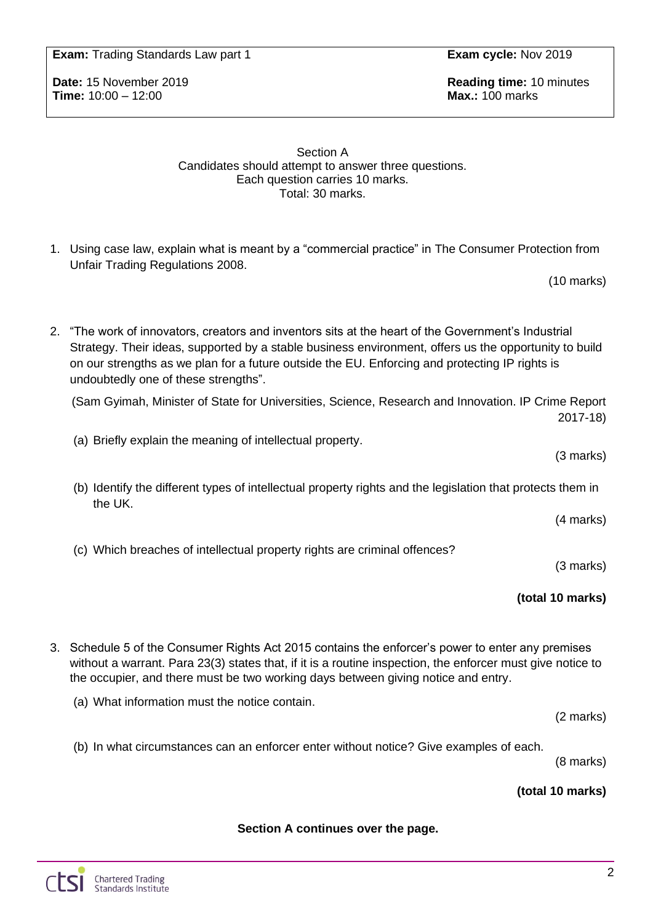**Exam:** Trading Standards Law part 1 **Exam cycle:** Nov 2019

**Time:** 10:00 – 12:00 **Max.:** 100 marks

**Date:** 15 November 2019 **Reading time:** 10 minutes

#### Section A Candidates should attempt to answer three questions. Each question carries 10 marks. Total: 30 marks.

1. Using case law, explain what is meant by a "commercial practice" in The Consumer Protection from Unfair Trading Regulations 2008.

(10 marks)

2. "The work of innovators, creators and inventors sits at the heart of the Government's Industrial Strategy. Their ideas, supported by a stable business environment, offers us the opportunity to build on our strengths as we plan for a future outside the EU. Enforcing and protecting IP rights is undoubtedly one of these strengths".

(Sam Gyimah, Minister of State for Universities, Science, Research and Innovation. IP Crime Report 2017-18)

(a) Briefly explain the meaning of intellectual property.

(b) Identify the different types of intellectual property rights and the legislation that protects them in the UK.

(4 marks)

(3 marks)

(c) Which breaches of intellectual property rights are criminal offences?

(3 marks)

### **(total 10 marks)**

3. Schedule 5 of the Consumer Rights Act 2015 contains the enforcer's power to enter any premises without a warrant. Para 23(3) states that, if it is a routine inspection, the enforcer must give notice to the occupier, and there must be two working days between giving notice and entry.

(a) What information must the notice contain.

(2 marks)

(b) In what circumstances can an enforcer enter without notice? Give examples of each.

(8 marks)

### **(total 10 marks)**

### **Section A continues over the page.**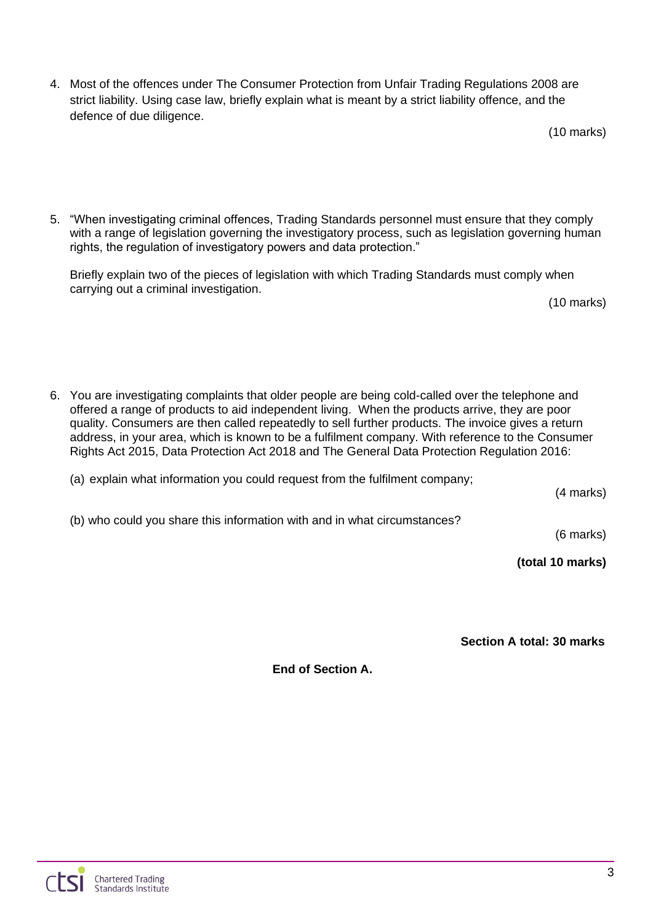4. Most of the offences under The Consumer Protection from Unfair Trading Regulations 2008 are strict liability. Using case law, briefly explain what is meant by a strict liability offence, and the defence of due diligence.

5. "When investigating criminal offences, Trading Standards personnel must ensure that they comply with a range of legislation governing the investigatory process, such as legislation governing human rights, the regulation of investigatory powers and data protection."

Briefly explain two of the pieces of legislation with which Trading Standards must comply when carrying out a criminal investigation.

(10 marks)

6. You are investigating complaints that older people are being cold-called over the telephone and offered a range of products to aid independent living. When the products arrive, they are poor quality. Consumers are then called repeatedly to sell further products. The invoice gives a return address, in your area, which is known to be a fulfilment company. With reference to the Consumer Rights Act 2015, Data Protection Act 2018 and The General Data Protection Regulation 2016:

(a) explain what information you could request from the fulfilment company;

(4 marks)

(b) who could you share this information with and in what circumstances?

(6 marks)

**(total 10 marks)**

**Section A total: 30 marks**

**End of Section A.**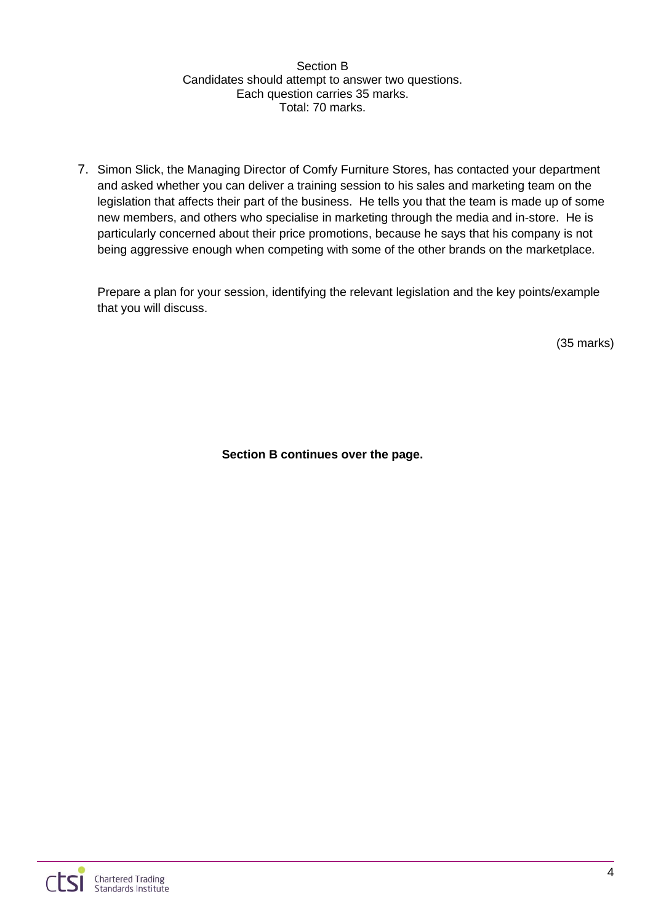#### Section B Candidates should attempt to answer two questions. Each question carries 35 marks. Total: 70 marks.

7. Simon Slick, the Managing Director of Comfy Furniture Stores, has contacted your department and asked whether you can deliver a training session to his sales and marketing team on the legislation that affects their part of the business. He tells you that the team is made up of some new members, and others who specialise in marketing through the media and in-store. He is particularly concerned about their price promotions, because he says that his company is not being aggressive enough when competing with some of the other brands on the marketplace.

Prepare a plan for your session, identifying the relevant legislation and the key points/example that you will discuss.

(35 marks)

**Section B continues over the page.**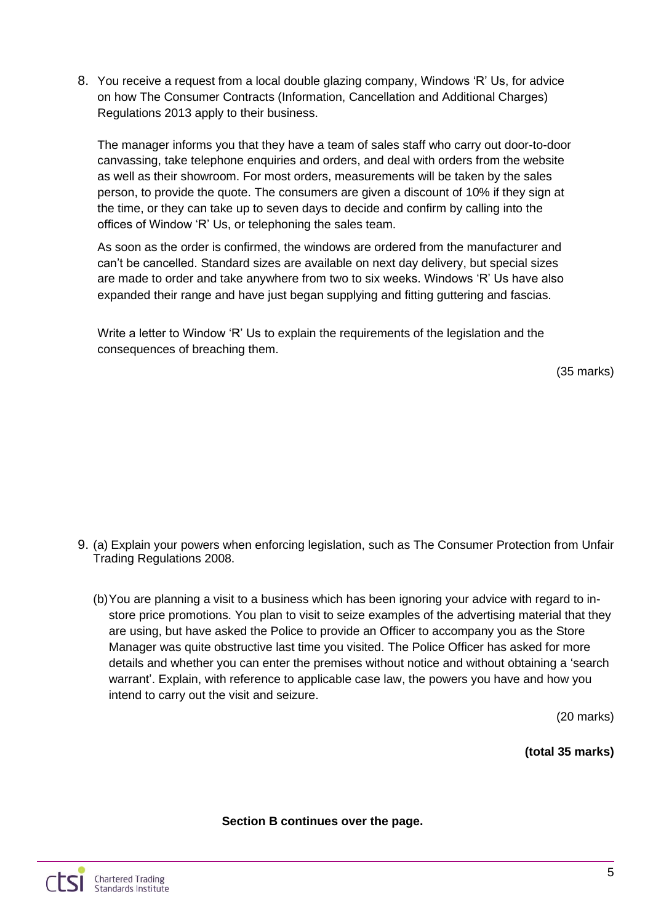8. You receive a request from a local double glazing company, Windows 'R' Us, for advice on how The Consumer Contracts (Information, Cancellation and Additional Charges) Regulations 2013 apply to their business.

The manager informs you that they have a team of sales staff who carry out door-to-door canvassing, take telephone enquiries and orders, and deal with orders from the website as well as their showroom. For most orders, measurements will be taken by the sales person, to provide the quote. The consumers are given a discount of 10% if they sign at the time, or they can take up to seven days to decide and confirm by calling into the offices of Window 'R' Us, or telephoning the sales team.

As soon as the order is confirmed, the windows are ordered from the manufacturer and can't be cancelled. Standard sizes are available on next day delivery, but special sizes are made to order and take anywhere from two to six weeks. Windows 'R' Us have also expanded their range and have just began supplying and fitting guttering and fascias.

Write a letter to Window 'R' Us to explain the requirements of the legislation and the consequences of breaching them.

(35 marks)

- 9. (a) Explain your powers when enforcing legislation, such as The Consumer Protection from Unfair Trading Regulations 2008.
	- (b)You are planning a visit to a business which has been ignoring your advice with regard to instore price promotions. You plan to visit to seize examples of the advertising material that they are using, but have asked the Police to provide an Officer to accompany you as the Store Manager was quite obstructive last time you visited. The Police Officer has asked for more details and whether you can enter the premises without notice and without obtaining a 'search warrant'. Explain, with reference to applicable case law, the powers you have and how you intend to carry out the visit and seizure.

(20 marks)

**(total 35 marks)**

**Section B continues over the page.**